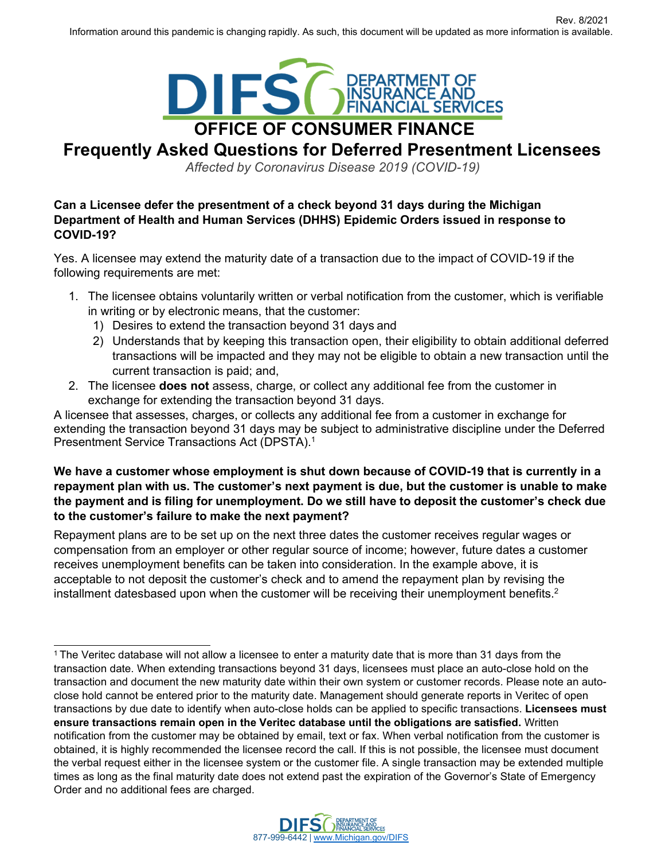

# **Frequently Asked Questions for Deferred Presentment Licensees**

*Affected by Coronavirus Disease 2019 (COVID-19)*

### **Can a Licensee defer the presentment of a check beyond 31 days during the Michigan Department of Health and Human Services (DHHS) Epidemic Orders issued in response to COVID-19?**

Yes. A licensee may extend the maturity date of a transaction due to the impact of COVID-19 if the following requirements are met:

- 1. The licensee obtains voluntarily written or verbal notification from the customer, which is verifiable in writing or by electronic means, that the customer:
	- 1) Desires to extend the transaction beyond 31 days and
	- 2) Understands that by keeping this transaction open, their eligibility to obtain additional deferred transactions will be impacted and they may not be eligible to obtain a new transaction until the current transaction is paid; and,
- 2. The licensee **does not** assess, charge, or collect any additional fee from the customer in exchange for extending the transaction beyond 31 days.

A licensee that assesses, charges, or collects any additional fee from a customer in exchange for extending the transaction beyond 31 days may be subject to administrative discipline under the Deferred Presentment Service Transactions Act (DPSTA). 1

# **We have a customer whose employment is shut down because of COVID-19 that is currently in a repayment plan with us. The customer's next payment is due, but the customer is unable to make the payment and is filing for unemployment. Do we still have to deposit the customer's check due to the customer's failure to make the next payment?**

Repayment plans are to be set up on the next three dates the customer receives regular wages or compensation from an employer or other regular source of income; however, future dates a customer receives unemployment benefits can be taken into consideration. In the example above, it is acceptable to not deposit the customer's check and to amend the repayment plan by revising the installment datesbased upon when the customer will be receiving their unemployment benefits.<sup>2</sup>

<sup>1</sup> The Veritec database will not allow a licensee to enter a maturity date that is more than 31 days from the transaction date. When extending transactions beyond 31 days, licensees must place an auto-close hold on the transaction and document the new maturity date within their own system or customer records. Please note an autoclose hold cannot be entered prior to the maturity date. Management should generate reports in Veritec of open transactions by due date to identify when auto-close holds can be applied to specific transactions. **Licensees must ensure transactions remain open in the Veritec database until the obligations are satisfied.** Written notification from the customer may be obtained by email, text or fax. When verbal notification from the customer is obtained, it is highly recommended the licensee record the call. If this is not possible, the licensee must document the verbal request either in the licensee system or the customer file. A single transaction may be extended multiple times as long as the final maturity date does not extend past the expiration of the Governor's State of Emergency Order and no additional fees are charged.